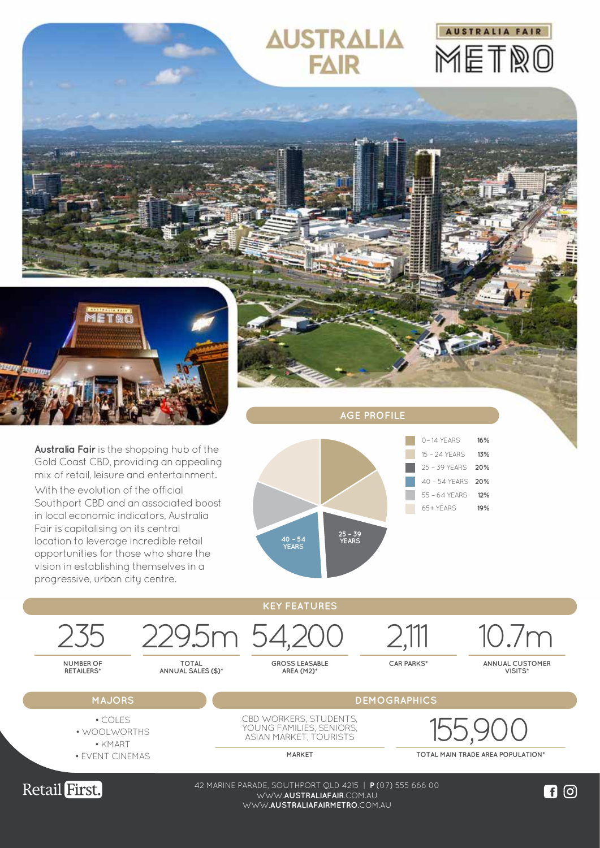

WWW.**AUSTRALIAFAIRMETRO**.COM.AU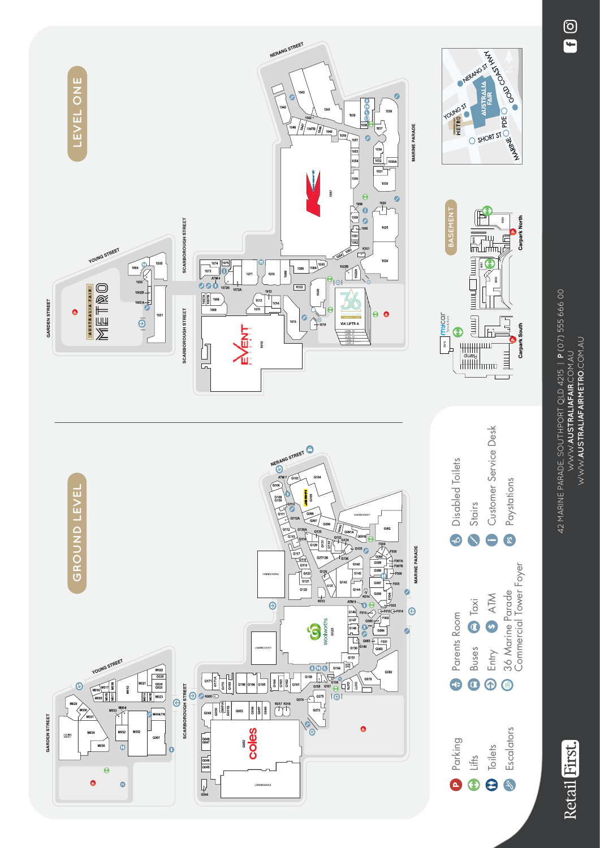42 MARINE PARADE, SOUTHPORT QLD 4215 | P (07) 555 666 00 42 MARINE PARADE, SOUTHPORT QLD 4215 | **P** (07) 555 666 00 WWW.**AUSTRALIAFAIR.**COM,AU<br>WWW**.AUSTRALIAFAIRMETRO.**COM,AU WWW.**AUSTRALIAFAIRMETRO**.COM.AU WWW.**AUSTRALIAFAIR**.COM.AU



Retail First.

 $\odot$